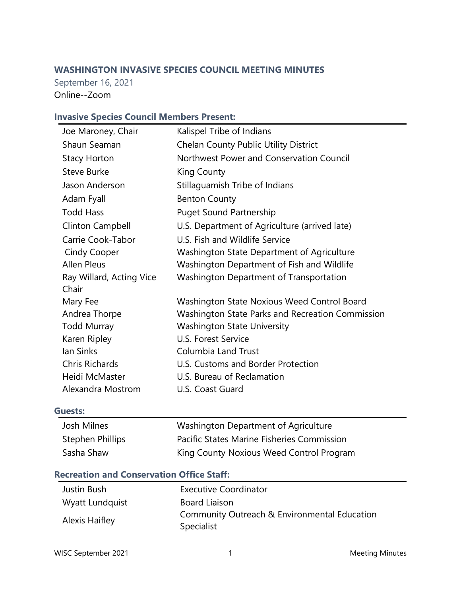# **WASHINGTON INVASIVE SPECIES COUNCIL MEETING MINUTES**

September 16, 2021 Online--Zoom

# **Invasive Species Council Members Present:**

| Joe Maroney, Chair       | Kalispel Tribe of Indians                        |
|--------------------------|--------------------------------------------------|
| Shaun Seaman             | <b>Chelan County Public Utility District</b>     |
| <b>Stacy Horton</b>      | Northwest Power and Conservation Council         |
| <b>Steve Burke</b>       | King County                                      |
| Jason Anderson           | Stillaguamish Tribe of Indians                   |
| Adam Fyall               | <b>Benton County</b>                             |
| <b>Todd Hass</b>         | <b>Puget Sound Partnership</b>                   |
| <b>Clinton Campbell</b>  | U.S. Department of Agriculture (arrived late)    |
| Carrie Cook-Tabor        | U.S. Fish and Wildlife Service                   |
| Cindy Cooper             | Washington State Department of Agriculture       |
| <b>Allen Pleus</b>       | Washington Department of Fish and Wildlife       |
| Ray Willard, Acting Vice | <b>Washington Department of Transportation</b>   |
| Chair                    |                                                  |
| Mary Fee                 | Washington State Noxious Weed Control Board      |
| Andrea Thorpe            | Washington State Parks and Recreation Commission |
| <b>Todd Murray</b>       | <b>Washington State University</b>               |
| Karen Ripley             | U.S. Forest Service                              |
| lan Sinks                | <b>Columbia Land Trust</b>                       |
| <b>Chris Richards</b>    | U.S. Customs and Border Protection               |
| Heidi McMaster           | U.S. Bureau of Reclamation                       |
| Alexandra Mostrom        | U.S. Coast Guard                                 |

#### **Guests:**

| Josh Milnes      | Washington Department of Agriculture       |
|------------------|--------------------------------------------|
| Stephen Phillips | Pacific States Marine Fisheries Commission |
| Sasha Shaw       | King County Noxious Weed Control Program   |

# **Recreation and Conservation Office Staff:**

| Justin Bush     | <b>Executive Coordinator</b>                 |
|-----------------|----------------------------------------------|
| Wyatt Lundquist | <b>Board Liaison</b>                         |
|                 | Community Outreach & Environmental Education |
| Alexis Haifley  | Specialist                                   |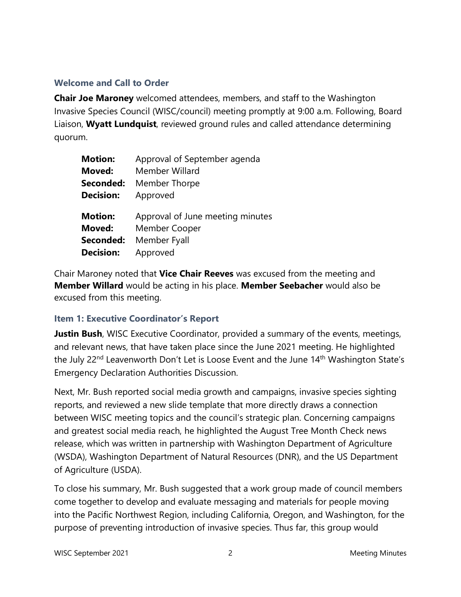# **Welcome and Call to Order**

**Chair Joe Maroney** welcomed attendees, members, and staff to the Washington Invasive Species Council (WISC/council) meeting promptly at 9:00 a.m. Following, Board Liaison, **Wyatt Lundquist**, reviewed ground rules and called attendance determining quorum.

| <b>Motion:</b>   | Approval of September agenda     |
|------------------|----------------------------------|
| Moved:           | Member Willard                   |
| Seconded:        | Member Thorpe                    |
| <b>Decision:</b> | Approved                         |
|                  |                                  |
|                  |                                  |
| <b>Motion:</b>   | Approval of June meeting minutes |
| Moved:           | Member Cooper                    |
| Seconded:        | Member Fyall                     |

Chair Maroney noted that **Vice Chair Reeves** was excused from the meeting and **Member Willard** would be acting in his place. **Member Seebacher** would also be excused from this meeting.

#### **Item 1: Executive Coordinator's Report**

**Justin Bush**, WISC Executive Coordinator, provided a summary of the events, meetings, and relevant news, that have taken place since the June 2021 meeting. He highlighted the July 22<sup>nd</sup> Leavenworth Don't Let is Loose Event and the June 14<sup>th</sup> Washington State's Emergency Declaration Authorities Discussion.

Next, Mr. Bush reported social media growth and campaigns, invasive species sighting reports, and reviewed a new slide template that more directly draws a connection between WISC meeting topics and the council's strategic plan. Concerning campaigns and greatest social media reach, he highlighted the August Tree Month Check news release, which was written in partnership with Washington Department of Agriculture (WSDA), Washington Department of Natural Resources (DNR), and the US Department of Agriculture (USDA).

To close his summary, Mr. Bush suggested that a work group made of council members come together to develop and evaluate messaging and materials for people moving into the Pacific Northwest Region, including California, Oregon, and Washington, for the purpose of preventing introduction of invasive species. Thus far, this group would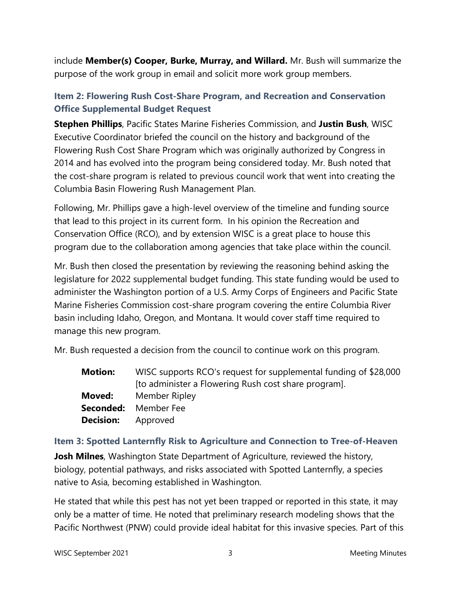include **Member(s) Cooper, Burke, Murray, and Willard.** Mr. Bush will summarize the purpose of the work group in email and solicit more work group members.

# **Item 2: Flowering Rush Cost-Share Program, and Recreation and Conservation Office Supplemental Budget Request**

**Stephen Phillips**, Pacific States Marine Fisheries Commission, and **Justin Bush**, WISC Executive Coordinator briefed the council on the history and background of the Flowering Rush Cost Share Program which was originally authorized by Congress in 2014 and has evolved into the program being considered today. Mr. Bush noted that the cost-share program is related to previous council work that went into creating the Columbia Basin Flowering Rush Management Plan.

Following, Mr. Phillips gave a high-level overview of the timeline and funding source that lead to this project in its current form. In his opinion the Recreation and Conservation Office (RCO), and by extension WISC is a great place to house this program due to the collaboration among agencies that take place within the council.

Mr. Bush then closed the presentation by reviewing the reasoning behind asking the legislature for 2022 supplemental budget funding. This state funding would be used to administer the Washington portion of a U.S. Army Corps of Engineers and Pacific State Marine Fisheries Commission cost-share program covering the entire Columbia River basin including Idaho, Oregon, and Montana. It would cover staff time required to manage this new program.

Mr. Bush requested a decision from the council to continue work on this program.

| <b>Motion:</b> | WISC supports RCO's request for supplemental funding of \$28,000 |  |
|----------------|------------------------------------------------------------------|--|
|                | [to administer a Flowering Rush cost share program].             |  |
| Moved:         | Member Ripley                                                    |  |
|                | Seconded: Member Fee                                             |  |
| Decision:      | Approved                                                         |  |

# **Item 3: Spotted Lanternfly Risk to Agriculture and Connection to Tree-of-Heaven**

**Josh Milnes**, Washington State Department of Agriculture, reviewed the history, biology, potential pathways, and risks associated with Spotted Lanternfly, a species native to Asia, becoming established in Washington.

He stated that while this pest has not yet been trapped or reported in this state, it may only be a matter of time. He noted that preliminary research modeling shows that the Pacific Northwest (PNW) could provide ideal habitat for this invasive species. Part of this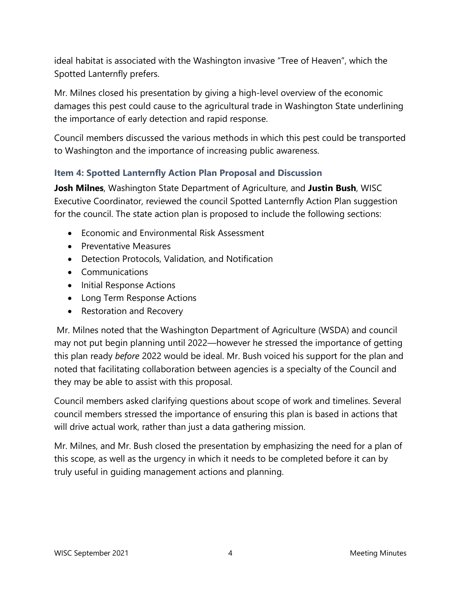ideal habitat is associated with the Washington invasive "Tree of Heaven", which the Spotted Lanternfly prefers.

Mr. Milnes closed his presentation by giving a high-level overview of the economic damages this pest could cause to the agricultural trade in Washington State underlining the importance of early detection and rapid response.

Council members discussed the various methods in which this pest could be transported to Washington and the importance of increasing public awareness.

# **Item 4: Spotted Lanternfly Action Plan Proposal and Discussion**

**Josh Milnes**, Washington State Department of Agriculture, and **Justin Bush**, WISC Executive Coordinator, reviewed the council Spotted Lanternfly Action Plan suggestion for the council. The state action plan is proposed to include the following sections:

- Economic and Environmental Risk Assessment
- Preventative Measures
- Detection Protocols, Validation, and Notification
- Communications
- Initial Response Actions
- Long Term Response Actions
- Restoration and Recovery

Mr. Milnes noted that the Washington Department of Agriculture (WSDA) and council may not put begin planning until 2022—however he stressed the importance of getting this plan ready *before* 2022 would be ideal. Mr. Bush voiced his support for the plan and noted that facilitating collaboration between agencies is a specialty of the Council and they may be able to assist with this proposal.

Council members asked clarifying questions about scope of work and timelines. Several council members stressed the importance of ensuring this plan is based in actions that will drive actual work, rather than just a data gathering mission.

Mr. Milnes, and Mr. Bush closed the presentation by emphasizing the need for a plan of this scope, as well as the urgency in which it needs to be completed before it can by truly useful in guiding management actions and planning.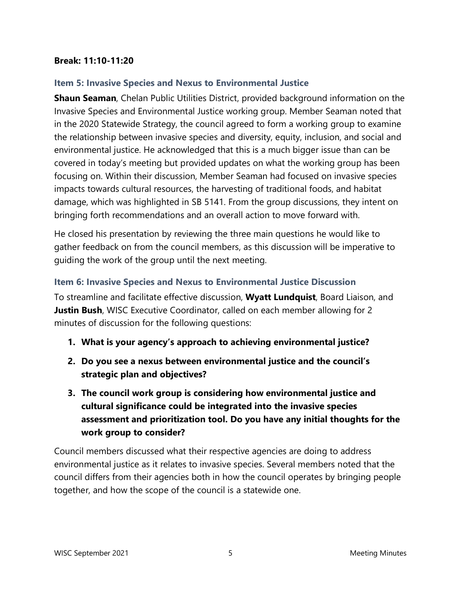#### **Break: 11:10-11:20**

#### **Item 5: Invasive Species and Nexus to Environmental Justice**

**Shaun Seaman**, Chelan Public Utilities District, provided background information on the Invasive Species and Environmental Justice working group. Member Seaman noted that in the 2020 Statewide Strategy, the council agreed to form a working group to examine the relationship between invasive species and diversity, equity, inclusion, and social and environmental justice. He acknowledged that this is a much bigger issue than can be covered in today's meeting but provided updates on what the working group has been focusing on. Within their discussion, Member Seaman had focused on invasive species impacts towards cultural resources, the harvesting of traditional foods, and habitat damage, which was highlighted in SB 5141. From the group discussions, they intent on bringing forth recommendations and an overall action to move forward with.

He closed his presentation by reviewing the three main questions he would like to gather feedback on from the council members, as this discussion will be imperative to guiding the work of the group until the next meeting.

#### **Item 6: Invasive Species and Nexus to Environmental Justice Discussion**

To streamline and facilitate effective discussion, **Wyatt Lundquist**, Board Liaison, and **Justin Bush**, WISC Executive Coordinator, called on each member allowing for 2 minutes of discussion for the following questions:

- **1. What is your agency's approach to achieving environmental justice?**
- **2. Do you see a nexus between environmental justice and the council's strategic plan and objectives?**
- **3. The council work group is considering how environmental justice and cultural significance could be integrated into the invasive species assessment and prioritization tool. Do you have any initial thoughts for the work group to consider?**

Council members discussed what their respective agencies are doing to address environmental justice as it relates to invasive species. Several members noted that the council differs from their agencies both in how the council operates by bringing people together, and how the scope of the council is a statewide one.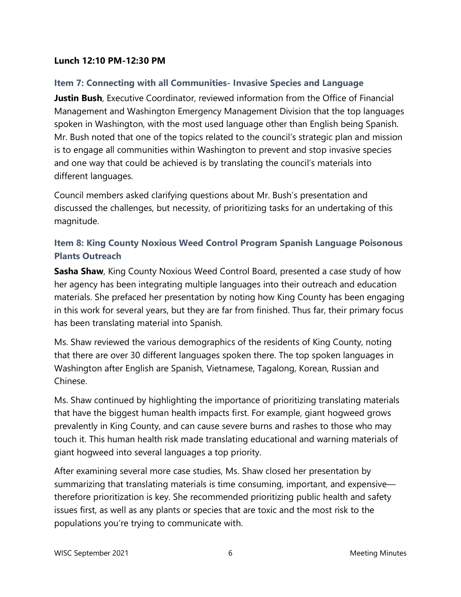#### **Lunch 12:10 PM-12:30 PM**

# **Item 7: Connecting with all Communities- Invasive Species and Language**

**Justin Bush**, Executive Coordinator, reviewed information from the Office of Financial Management and Washington Emergency Management Division that the top languages spoken in Washington, with the most used language other than English being Spanish. Mr. Bush noted that one of the topics related to the council's strategic plan and mission is to engage all communities within Washington to prevent and stop invasive species and one way that could be achieved is by translating the council's materials into different languages.

Council members asked clarifying questions about Mr. Bush's presentation and discussed the challenges, but necessity, of prioritizing tasks for an undertaking of this magnitude.

# **Item 8: King County Noxious Weed Control Program Spanish Language Poisonous Plants Outreach**

**Sasha Shaw**, King County Noxious Weed Control Board, presented a case study of how her agency has been integrating multiple languages into their outreach and education materials. She prefaced her presentation by noting how King County has been engaging in this work for several years, but they are far from finished. Thus far, their primary focus has been translating material into Spanish.

Ms. Shaw reviewed the various demographics of the residents of King County, noting that there are over 30 different languages spoken there. The top spoken languages in Washington after English are Spanish, Vietnamese, Tagalong, Korean, Russian and Chinese.

Ms. Shaw continued by highlighting the importance of prioritizing translating materials that have the biggest human health impacts first. For example, giant hogweed grows prevalently in King County, and can cause severe burns and rashes to those who may touch it. This human health risk made translating educational and warning materials of giant hogweed into several languages a top priority.

After examining several more case studies, Ms. Shaw closed her presentation by summarizing that translating materials is time consuming, important, and expensive therefore prioritization is key. She recommended prioritizing public health and safety issues first, as well as any plants or species that are toxic and the most risk to the populations you're trying to communicate with.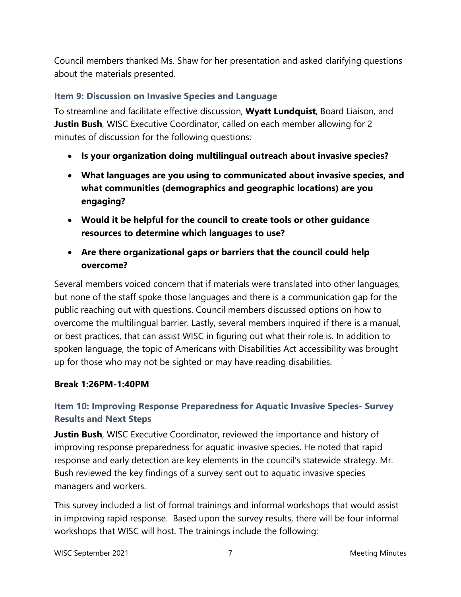Council members thanked Ms. Shaw for her presentation and asked clarifying questions about the materials presented.

# **Item 9: Discussion on Invasive Species and Language**

To streamline and facilitate effective discussion, **Wyatt Lundquist**, Board Liaison, and **Justin Bush**, WISC Executive Coordinator, called on each member allowing for 2 minutes of discussion for the following questions:

- **Is your organization doing multilingual outreach about invasive species?**
- **What languages are you using to communicated about invasive species, and what communities (demographics and geographic locations) are you engaging?**
- **Would it be helpful for the council to create tools or other guidance resources to determine which languages to use?**
- **Are there organizational gaps or barriers that the council could help overcome?**

Several members voiced concern that if materials were translated into other languages, but none of the staff spoke those languages and there is a communication gap for the public reaching out with questions. Council members discussed options on how to overcome the multilingual barrier. Lastly, several members inquired if there is a manual, or best practices, that can assist WISC in figuring out what their role is. In addition to spoken language, the topic of Americans with Disabilities Act accessibility was brought up for those who may not be sighted or may have reading disabilities.

# **Break 1:26PM-1:40PM**

# **Item 10: Improving Response Preparedness for Aquatic Invasive Species- Survey Results and Next Steps**

**Justin Bush,** WISC Executive Coordinator, reviewed the importance and history of improving response preparedness for aquatic invasive species. He noted that rapid response and early detection are key elements in the council's statewide strategy. Mr. Bush reviewed the key findings of a survey sent out to aquatic invasive species managers and workers.

This survey included a list of formal trainings and informal workshops that would assist in improving rapid response. Based upon the survey results, there will be four informal workshops that WISC will host. The trainings include the following:

WISC September 2021 **7** Meeting Minutes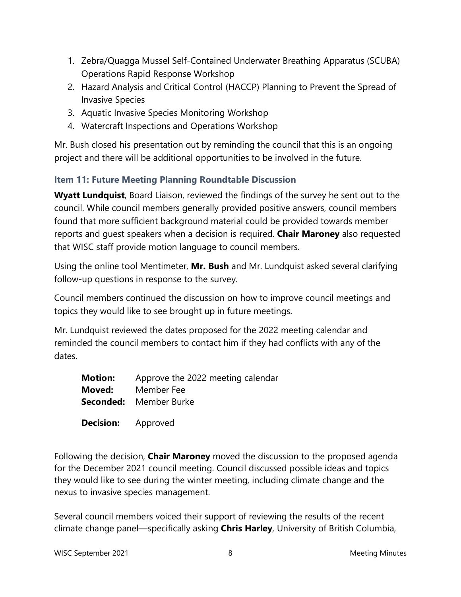- 1. Zebra/Quagga Mussel Self-Contained Underwater Breathing Apparatus (SCUBA) Operations Rapid Response Workshop
- 2. Hazard Analysis and Critical Control (HACCP) Planning to Prevent the Spread of Invasive Species
- 3. Aquatic Invasive Species Monitoring Workshop
- 4. Watercraft Inspections and Operations Workshop

Mr. Bush closed his presentation out by reminding the council that this is an ongoing project and there will be additional opportunities to be involved in the future.

# **Item 11: Future Meeting Planning Roundtable Discussion**

**Wyatt Lundquist**, Board Liaison, reviewed the findings of the survey he sent out to the council. While council members generally provided positive answers, council members found that more sufficient background material could be provided towards member reports and guest speakers when a decision is required. **Chair Maroney** also requested that WISC staff provide motion language to council members.

Using the online tool Mentimeter, **Mr. Bush** and Mr. Lundquist asked several clarifying follow-up questions in response to the survey.

Council members continued the discussion on how to improve council meetings and topics they would like to see brought up in future meetings.

Mr. Lundquist reviewed the dates proposed for the 2022 meeting calendar and reminded the council members to contact him if they had conflicts with any of the dates.

| <b>Motion:</b> | Approve the 2022 meeting calendar |
|----------------|-----------------------------------|
| Moved:         | Member Fee                        |
|                | <b>Seconded:</b> Member Burke     |
|                |                                   |

**Decision:** Approved

Following the decision, **Chair Maroney** moved the discussion to the proposed agenda for the December 2021 council meeting. Council discussed possible ideas and topics they would like to see during the winter meeting, including climate change and the nexus to invasive species management.

Several council members voiced their support of reviewing the results of the recent climate change panel—specifically asking **Chris Harley**, University of British Columbia,